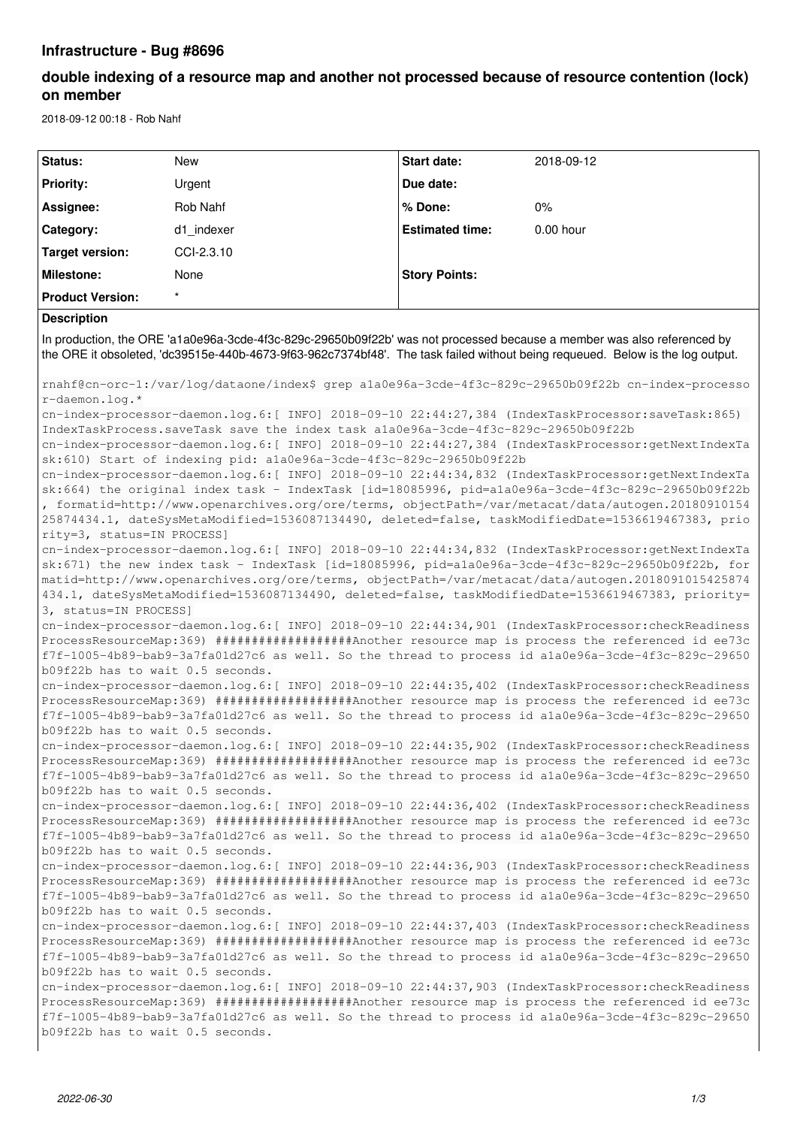## **Infrastructure - Bug #8696**

# **double indexing of a resource map and another not processed because of resource contention (lock) on member**

2018-09-12 00:18 - Rob Nahf

| Status:                                                                                                                                                                                                                                                                                                                                                                                                                                                                                                                    | <b>New</b>                                                                                                                                                                                                                                                                                                       | <b>Start date:</b>     | 2018-09-12 |  |  |  |
|----------------------------------------------------------------------------------------------------------------------------------------------------------------------------------------------------------------------------------------------------------------------------------------------------------------------------------------------------------------------------------------------------------------------------------------------------------------------------------------------------------------------------|------------------------------------------------------------------------------------------------------------------------------------------------------------------------------------------------------------------------------------------------------------------------------------------------------------------|------------------------|------------|--|--|--|
| <b>Priority:</b>                                                                                                                                                                                                                                                                                                                                                                                                                                                                                                           | Urgent                                                                                                                                                                                                                                                                                                           | Due date:              |            |  |  |  |
| Assignee:                                                                                                                                                                                                                                                                                                                                                                                                                                                                                                                  | Rob Nahf                                                                                                                                                                                                                                                                                                         | % Done:                | $0\%$      |  |  |  |
| Category:                                                                                                                                                                                                                                                                                                                                                                                                                                                                                                                  | d1 indexer                                                                                                                                                                                                                                                                                                       | <b>Estimated time:</b> | 0.00 hour  |  |  |  |
| <b>Target version:</b>                                                                                                                                                                                                                                                                                                                                                                                                                                                                                                     | CCI-2.3.10                                                                                                                                                                                                                                                                                                       |                        |            |  |  |  |
| <b>Milestone:</b>                                                                                                                                                                                                                                                                                                                                                                                                                                                                                                          | None                                                                                                                                                                                                                                                                                                             | <b>Story Points:</b>   |            |  |  |  |
| <b>Product Version:</b>                                                                                                                                                                                                                                                                                                                                                                                                                                                                                                    |                                                                                                                                                                                                                                                                                                                  |                        |            |  |  |  |
| <b>Description</b>                                                                                                                                                                                                                                                                                                                                                                                                                                                                                                         |                                                                                                                                                                                                                                                                                                                  |                        |            |  |  |  |
| In production, the ORE 'a1a0e96a-3cde-4f3c-829c-29650b09f22b' was not processed because a member was also referenced by<br>the ORE it obsoleted, 'dc39515e-440b-4673-9f63-962c7374bf48'. The task failed without being requeued. Below is the log output.                                                                                                                                                                                                                                                                  |                                                                                                                                                                                                                                                                                                                  |                        |            |  |  |  |
| rnahf@cn-orc-1:/var/log/dataone/index\$ grep ala0e96a-3cde-4f3c-829c-29650b09f22b cn-index-processo                                                                                                                                                                                                                                                                                                                                                                                                                        |                                                                                                                                                                                                                                                                                                                  |                        |            |  |  |  |
| r-daemon.log.*<br>cn-index-processor-daemon.log.6:[ INFO] 2018-09-10 22:44:27,384 (IndexTaskProcessor:saveTask:865)<br>IndexTaskProcess.saveTask save the index task ala0e96a-3cde-4f3c-829c-29650b09f22b                                                                                                                                                                                                                                                                                                                  |                                                                                                                                                                                                                                                                                                                  |                        |            |  |  |  |
| cn-index-processor-daemon.log.6: [ INFO] 2018-09-10 22:44:27,384 (IndexTaskProcessor:getNextIndexTa                                                                                                                                                                                                                                                                                                                                                                                                                        |                                                                                                                                                                                                                                                                                                                  |                        |            |  |  |  |
| sk:610) Start of indexing pid: ala0e96a-3cde-4f3c-829c-29650b09f22b<br>cn-index-processor-daemon.log.6: [ INFO] 2018-09-10 22:44:34,832 (IndexTaskProcessor:getNextIndexTa<br>sk:664) the original index task - IndexTask [id=18085996, pid=ala0e96a-3cde-4f3c-829c-29650b09f22b<br>, formatid=http://www.openarchives.org/ore/terms, objectPath=/var/metacat/data/autogen.20180910154<br>25874434.1, dateSysMetaModified=1536087134490, deleted=false, taskModifiedDate=1536619467383, prio<br>rity=3, status=IN PROCESS] |                                                                                                                                                                                                                                                                                                                  |                        |            |  |  |  |
| cn-index-processor-daemon.log.6: [ INFO] 2018-09-10 22:44:34,832 (IndexTaskProcessor:getNextIndexTa<br>sk:671) the new index task - IndexTask [id=18085996, pid=ala0e96a-3cde-4f3c-829c-29650b09f22b, for<br>matid=http://www.openarchives.org/ore/terms, objectPath=/var/metacat/data/autogen.2018091015425874<br>434.1, dateSysMetaModified=1536087134490, deleted=false, taskModifiedDate=1536619467383, priority=<br>3, status=IN PROCESS]                                                                             |                                                                                                                                                                                                                                                                                                                  |                        |            |  |  |  |
| cn-index-processor-daemon.log.6: [ INFO] 2018-09-10 22:44:34,901 (IndexTaskProcessor:checkReadiness<br>ProcessResourceMap:369) ####################Another resource map is process the referenced id ee73c<br>f7f-1005-4b89-bab9-3a7fa01d27c6 as well. So the thread to process id ala0e96a-3cde-4f3c-829c-29650<br>b09f22b has to wait 0.5 seconds.                                                                                                                                                                       |                                                                                                                                                                                                                                                                                                                  |                        |            |  |  |  |
| cn-index-processor-daemon.log.6: [ INFO] 2018-09-10 22:44:35,402 (IndexTaskProcessor:checkReadiness<br>ProcessResourceMap:369) ####################Another resource map is process the referenced id ee73c<br>f7f-1005-4b89-bab9-3a7fa01d27c6 as well. So the thread to process id ala0e96a-3cde-4f3c-829c-29650<br>b09f22b has to wait 0.5 seconds.                                                                                                                                                                       |                                                                                                                                                                                                                                                                                                                  |                        |            |  |  |  |
| b09f22b has to wait 0.5 seconds.                                                                                                                                                                                                                                                                                                                                                                                                                                                                                           | cn-index-processor-daemon.log.6: [ INFO] 2018-09-10 22:44:35,902 (IndexTaskProcessor:checkReadiness<br>ProcessResourceMap:369) ###################Another resource map is process the referenced id ee73c<br>f7f-1005-4b89-bab9-3a7fa01d27c6 as well. So the thread to process id ala0e96a-3cde-4f3c-829c-29650  |                        |            |  |  |  |
| b09f22b has to wait 0.5 seconds.                                                                                                                                                                                                                                                                                                                                                                                                                                                                                           | cn-index-processor-daemon.log.6: [ INFO] 2018-09-10 22:44:36,402 (IndexTaskProcessor:checkReadiness<br>ProcessResourceMap:369) ####################Another resource map is process the referenced id ee73c<br>f7f-1005-4b89-bab9-3a7fa01d27c6 as well. So the thread to process id ala0e96a-3cde-4f3c-829c-29650 |                        |            |  |  |  |
| b09f22b has to wait 0.5 seconds.                                                                                                                                                                                                                                                                                                                                                                                                                                                                                           | cn-index-processor-daemon.log.6: [ INFO] 2018-09-10 22:44:36,903 (IndexTaskProcessor:checkReadiness<br>ProcessResourceMap:369) ####################Another resource map is process the referenced id ee73c<br>f7f-1005-4b89-bab9-3a7fa01d27c6 as well. So the thread to process id ala0e96a-3cde-4f3c-829c-29650 |                        |            |  |  |  |
| cn-index-processor-daemon.log.6: [ INFO] 2018-09-10 22:44:37,403 (IndexTaskProcessor:checkReadiness<br>ProcessResourceMap:369) ####################Another resource map is process the referenced id ee73c<br>f7f-1005-4b89-bab9-3a7fa01d27c6 as well. So the thread to process id ala0e96a-3cde-4f3c-829c-29650<br>b09f22b has to wait 0.5 seconds.                                                                                                                                                                       |                                                                                                                                                                                                                                                                                                                  |                        |            |  |  |  |
| cn-index-processor-daemon.log.6: [ INFO] 2018-09-10 22:44:37,903 (IndexTaskProcessor:checkReadiness<br>ProcessResourceMap:369) ####################Another resource map is process the referenced id ee73c<br>f7f-1005-4b89-bab9-3a7fa01d27c6 as well. So the thread to process id ala0e96a-3cde-4f3c-829c-29650<br>b09f22b has to wait 0.5 seconds.                                                                                                                                                                       |                                                                                                                                                                                                                                                                                                                  |                        |            |  |  |  |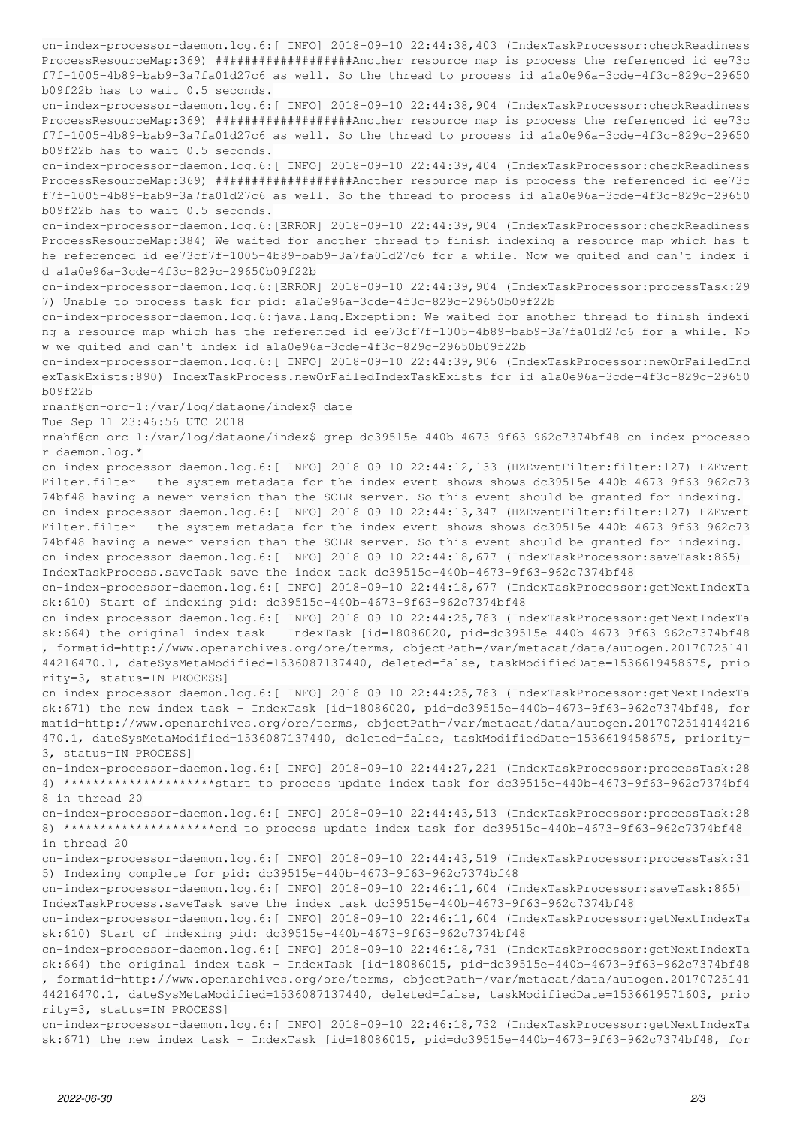cn-index-processor-daemon.log.6:[ INFO] 2018-09-10 22:44:38,403 (IndexTaskProcessor:checkReadiness ProcessResourceMap:369) ###################Another resource map is process the referenced id ee73c f7f-1005-4b89-bab9-3a7fa01d27c6 as well. So the thread to process id a1a0e96a-3cde-4f3c-829c-29650 b09f22b has to wait 0.5 seconds.

cn-index-processor-daemon.log.6:[ INFO] 2018-09-10 22:44:38,904 (IndexTaskProcessor:checkReadiness ProcessResourceMap:369) ###################Another resource map is process the referenced id ee73c f7f-1005-4b89-bab9-3a7fa01d27c6 as well. So the thread to process id a1a0e96a-3cde-4f3c-829c-29650 b09f22b has to wait 0.5 seconds.

cn-index-processor-daemon.log.6:[ INFO] 2018-09-10 22:44:39,404 (IndexTaskProcessor:checkReadiness ProcessResourceMap:369) ###################Another resource map is process the referenced id ee73c f7f-1005-4b89-bab9-3a7fa01d27c6 as well. So the thread to process id a1a0e96a-3cde-4f3c-829c-29650 b09f22b has to wait 0.5 seconds.

cn-index-processor-daemon.log.6:[ERROR] 2018-09-10 22:44:39,904 (IndexTaskProcessor:checkReadiness ProcessResourceMap:384) We waited for another thread to finish indexing a resource map which has t he referenced id ee73cf7f-1005-4b89-bab9-3a7fa01d27c6 for a while. Now we quited and can't index i d a1a0e96a-3cde-4f3c-829c-29650b09f22b

cn-index-processor-daemon.log.6:[ERROR] 2018-09-10 22:44:39,904 (IndexTaskProcessor:processTask:29 7) Unable to process task for pid: a1a0e96a-3cde-4f3c-829c-29650b09f22b

cn-index-processor-daemon.log.6:java.lang.Exception: We waited for another thread to finish indexi ng a resource map which has the referenced id ee73cf7f-1005-4b89-bab9-3a7fa01d27c6 for a while. No w we quited and can't index id a1a0e96a-3cde-4f3c-829c-29650b09f22b

cn-index-processor-daemon.log.6:[ INFO] 2018-09-10 22:44:39,906 (IndexTaskProcessor:newOrFailedInd exTaskExists:890) IndexTaskProcess.newOrFailedIndexTaskExists for id a1a0e96a-3cde-4f3c-829c-29650 b09f22b

rnahf@cn-orc-1:/var/log/dataone/index\$ date

Tue Sep 11 23:46:56 UTC 2018

rnahf@cn-orc-1:/var/log/dataone/index\$ grep dc39515e-440b-4673-9f63-962c7374bf48 cn-index-processo r-daemon.log.\*

cn-index-processor-daemon.log.6:[ INFO] 2018-09-10 22:44:12,133 (HZEventFilter:filter:127) HZEvent Filter.filter - the system metadata for the index event shows shows dc39515e-440b-4673-9f63-962c73 74bf48 having a newer version than the SOLR server. So this event should be granted for indexing. cn-index-processor-daemon.log.6:[ INFO] 2018-09-10 22:44:13,347 (HZEventFilter:filter:127) HZEvent Filter.filter - the system metadata for the index event shows shows dc39515e-440b-4673-9f63-962c73 74bf48 having a newer version than the SOLR server. So this event should be granted for indexing. cn-index-processor-daemon.log.6:[ INFO] 2018-09-10 22:44:18,677 (IndexTaskProcessor:saveTask:865) IndexTaskProcess.saveTask save the index task dc39515e-440b-4673-9f63-962c7374bf48

cn-index-processor-daemon.log.6:[ INFO] 2018-09-10 22:44:18,677 (IndexTaskProcessor:getNextIndexTa sk:610) Start of indexing pid: dc39515e-440b-4673-9f63-962c7374bf48

cn-index-processor-daemon.log.6:[ INFO] 2018-09-10 22:44:25,783 (IndexTaskProcessor:getNextIndexTa sk:664) the original index task - IndexTask [id=18086020, pid=dc39515e-440b-4673-9f63-962c7374bf48 , formatid=http://www.openarchives.org/ore/terms, objectPath=/var/metacat/data/autogen.20170725141 44216470.1, dateSysMetaModified=1536087137440, deleted=false, taskModifiedDate=1536619458675, prio rity=3, status=IN PROCESS]

cn-index-processor-daemon.log.6:[ INFO] 2018-09-10 22:44:25,783 (IndexTaskProcessor:getNextIndexTa sk:671) the new index task - IndexTask [id=18086020, pid=dc39515e-440b-4673-9f63-962c7374bf48, for matid=http://www.openarchives.org/ore/terms, objectPath=/var/metacat/data/autogen.2017072514144216 470.1, dateSysMetaModified=1536087137440, deleted=false, taskModifiedDate=1536619458675, priority= 3, status=IN PROCESS]

cn-index-processor-daemon.log.6:[ INFO] 2018-09-10 22:44:27,221 (IndexTaskProcessor:processTask:28 4) \*\*\*\*\*\*\*\*\*\*\*\*\*\*\*\*\*\*\*\*\*start to process update index task for dc39515e-440b-4673-9f63-962c7374bf4 8 in thread 20

cn-index-processor-daemon.log.6:[ INFO] 2018-09-10 22:44:43,513 (IndexTaskProcessor:processTask:28 8) \*\*\*\*\*\*\*\*\*\*\*\*\*\*\*\*\*\*\*\*\*end to process update index task for dc39515e-440b-4673-9f63-962c7374bf48 in thread 20

cn-index-processor-daemon.log.6:[ INFO] 2018-09-10 22:44:43,519 (IndexTaskProcessor:processTask:31 5) Indexing complete for pid: dc39515e-440b-4673-9f63-962c7374bf48

cn-index-processor-daemon.log.6:[ INFO] 2018-09-10 22:46:11,604 (IndexTaskProcessor:saveTask:865) IndexTaskProcess.saveTask save the index task dc39515e-440b-4673-9f63-962c7374bf48

cn-index-processor-daemon.log.6:[ INFO] 2018-09-10 22:46:11,604 (IndexTaskProcessor:getNextIndexTa sk:610) Start of indexing pid: dc39515e-440b-4673-9f63-962c7374bf48

cn-index-processor-daemon.log.6:[ INFO] 2018-09-10 22:46:18,731 (IndexTaskProcessor:getNextIndexTa sk:664) the original index task - IndexTask [id=18086015, pid=dc39515e-440b-4673-9f63-962c7374bf48 , formatid=http://www.openarchives.org/ore/terms, objectPath=/var/metacat/data/autogen.20170725141 44216470.1, dateSysMetaModified=1536087137440, deleted=false, taskModifiedDate=1536619571603, prio rity=3, status=IN PROCESS]

cn-index-processor-daemon.log.6:[ INFO] 2018-09-10 22:46:18,732 (IndexTaskProcessor:getNextIndexTa sk:671) the new index task - IndexTask [id=18086015, pid=dc39515e-440b-4673-9f63-962c7374bf48, for